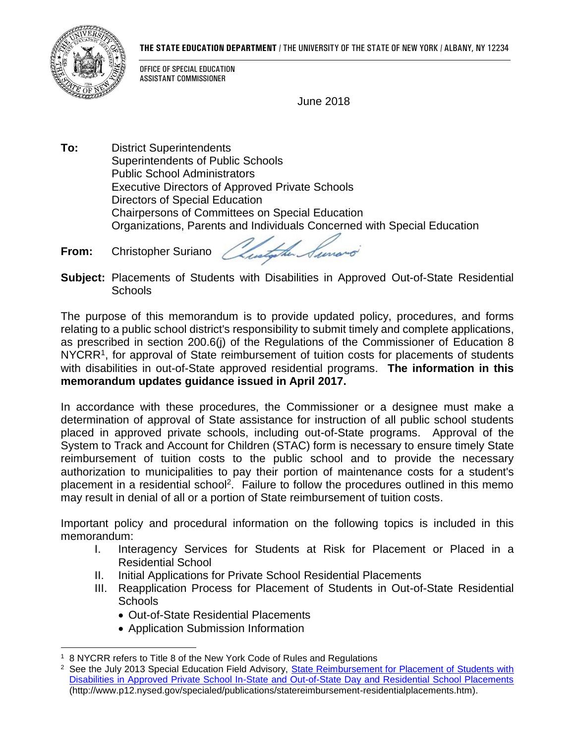

#### **THE STATE EDUCATION DEPARTMENT** / THE UNIVERSITY OF THE STATE OF NEW YORK / ALBANY, NY 12234

OFFICE OF SPECIAL EDUCATION ASSISTANT COMMISSIONER

June 2018

**To:** District Superintendents Superintendents of Public Schools Public School Administrators Executive Directors of Approved Private Schools Directors of Special Education Chairpersons of Committees on Special Education Organizations, Parents and Individuals Concerned with Special Education

- Surano **From:** Christopher Suriano
- **Subject:** Placements of Students with Disabilities in Approved Out-of-State Residential **Schools**

The purpose of this memorandum is to provide updated policy, procedures, and forms relating to a public school district's responsibility to submit timely and complete applications, as prescribed in section 200.6(j) of the Regulations of the Commissioner of Education 8 NYCRR<sup>1</sup>, for approval of State reimbursement of tuition costs for placements of students with disabilities in out-of-State approved residential programs. **The information in this memorandum updates guidance issued in April 2017.**

In accordance with these procedures, the Commissioner or a designee must make a determination of approval of State assistance for instruction of all public school students placed in approved private schools, including out-of-State programs. Approval of the System to Track and Account for Children (STAC) form is necessary to ensure timely State reimbursement of tuition costs to the public school and to provide the necessary authorization to municipalities to pay their portion of maintenance costs for a student's placement in a residential school<sup>2</sup>. Failure to follow the procedures outlined in this memo may result in denial of all or a portion of State reimbursement of tuition costs.

Important policy and procedural information on the following topics is included in this memorandum:

- I. Interagency Services for Students at Risk for Placement or Placed in a Residential School
- II. Initial Applications for Private School Residential Placements
- III. Reapplication Process for Placement of Students in Out-of-State Residential **Schools** 
	- Out-of-State Residential Placements
	- Application Submission Information

 $\overline{a}$ <sup>1</sup> 8 NYCRR refers to Title 8 of the New York Code of Rules and Regulations

<sup>&</sup>lt;sup>2</sup> See the July 2013 Special Education Field Advisory, State Reimbursement for Placement of Students with [Disabilities in Approved Private School In-State and Out-of-State Day and Residential School Placements](http://www.p12.nysed.gov/specialed/publications/statereimbursement-residentialplacements.htm) (http://www.p12.nysed.gov/specialed/publications/statereimbursement-residentialplacements.htm).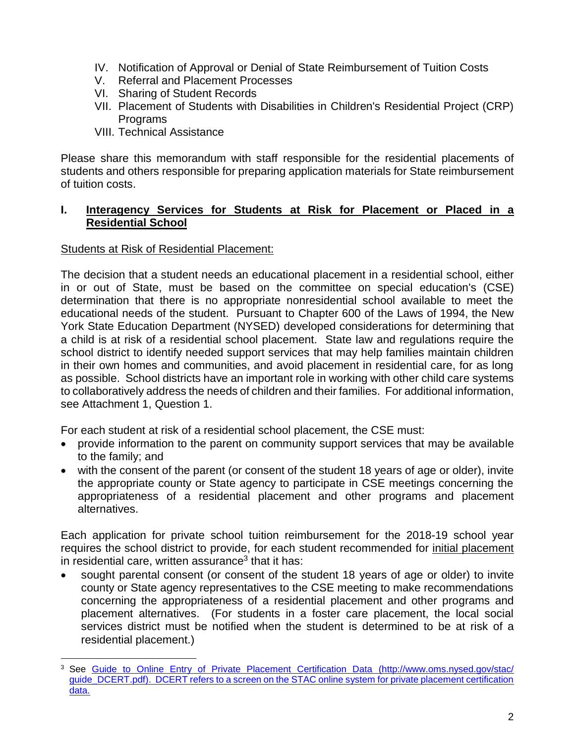- IV. Notification of Approval or Denial of State Reimbursement of Tuition Costs
- V. Referral and Placement Processes
- VI. Sharing of Student Records
- VII. Placement of Students with Disabilities in Children's Residential Project (CRP) **Programs**
- VIII. Technical Assistance

Please share this memorandum with staff responsible for the residential placements of students and others responsible for preparing application materials for State reimbursement of tuition costs.

### **I. Interagency Services for Students at Risk for Placement or Placed in a Residential School**

### Students at Risk of Residential Placement:

The decision that a student needs an educational placement in a residential school, either in or out of State, must be based on the committee on special education's (CSE) determination that there is no appropriate nonresidential school available to meet the educational needs of the student. Pursuant to Chapter 600 of the Laws of 1994, the New York State Education Department (NYSED) developed considerations for determining that a child is at risk of a residential school placement. State law and regulations require the school district to identify needed support services that may help families maintain children in their own homes and communities, and avoid placement in residential care, for as long as possible. School districts have an important role in working with other child care systems to collaboratively address the needs of children and their families. For additional information, see Attachment 1, Question 1.

For each student at risk of a residential school placement, the CSE must:

- provide information to the parent on community support services that may be available to the family; and
- with the consent of the parent (or consent of the student 18 years of age or older), invite the appropriate county or State agency to participate in CSE meetings concerning the appropriateness of a residential placement and other programs and placement alternatives.

Each application for private school tuition reimbursement for the 2018-19 school year requires the school district to provide, for each student recommended for initial placement in residential care, written assurance<sup>3</sup> that it has:

sought parental consent (or consent of the student 18 years of age or older) to invite county or State agency representatives to the CSE meeting to make recommendations concerning the appropriateness of a residential placement and other programs and placement alternatives. (For students in a foster care placement, the local social services district must be notified when the student is determined to be at risk of a residential placement.)

 $\overline{a}$ <sup>3</sup> See [Guide to Online Entry of Private Placement Certification Data](http://www.oms.nysed.gov/stac/guide_DCERT.pdf) (http://www.oms.nysed.gov/stac/ guide\_DCERT.pdf). DCERT refers to a screen on the STAC online system for private placement certification data.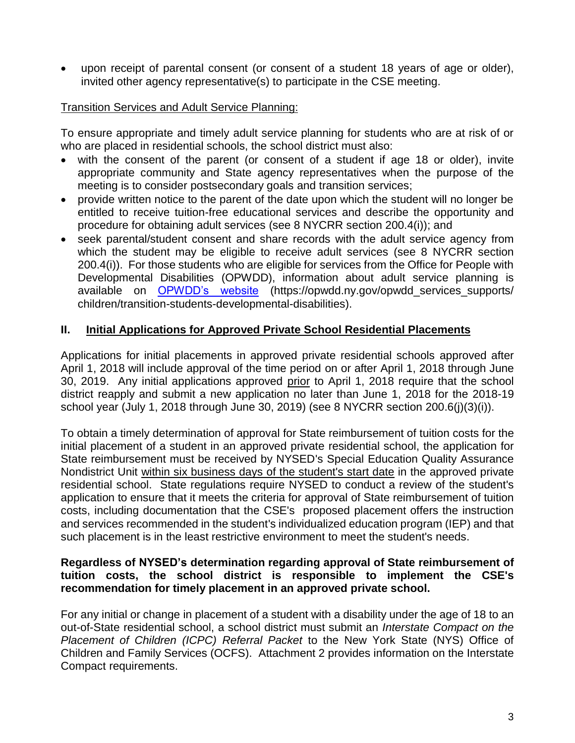• upon receipt of parental consent (or consent of a student 18 years of age or older), invited other agency representative(s) to participate in the CSE meeting.

### Transition Services and Adult Service Planning:

To ensure appropriate and timely adult service planning for students who are at risk of or who are placed in residential schools, the school district must also:

- with the consent of the parent (or consent of a student if age 18 or older), invite appropriate community and State agency representatives when the purpose of the meeting is to consider postsecondary goals and transition services;
- provide written notice to the parent of the date upon which the student will no longer be entitled to receive tuition-free educational services and describe the opportunity and procedure for obtaining adult services (see 8 NYCRR section 200.4(i)); and
- seek parental/student consent and share records with the adult service agency from which the student may be eligible to receive adult services (see 8 NYCRR section 200.4(i)). For those students who are eligible for services from the Office for People with Developmental Disabilities (OPWDD), information about adult service planning is available on [OPWDD's website](https://opwdd.ny.gov/opwdd_services_supports/children/transition-students-developmental-disabilities) (https://opwdd.ny.gov/opwdd\_services\_supports/ children/transition-students-developmental-disabilities).

### **II. Initial Applications for Approved Private School Residential Placements**

Applications for initial placements in approved private residential schools approved after April 1, 2018 will include approval of the time period on or after April 1, 2018 through June 30, 2019. Any initial applications approved prior to April 1, 2018 require that the school district reapply and submit a new application no later than June 1, 2018 for the 2018-19 school year (July 1, 2018 through June 30, 2019) (see 8 NYCRR section 200.6(j)(3)(i)).

To obtain a timely determination of approval for State reimbursement of tuition costs for the initial placement of a student in an approved private residential school, the application for State reimbursement must be received by NYSED's Special Education Quality Assurance Nondistrict Unit within six business days of the student's start date in the approved private residential school. State regulations require NYSED to conduct a review of the student's application to ensure that it meets the criteria for approval of State reimbursement of tuition costs, including documentation that the CSE's proposed placement offers the instruction and services recommended in the student's individualized education program (IEP) and that such placement is in the least restrictive environment to meet the student's needs.

### **Regardless of NYSED's determination regarding approval of State reimbursement of tuition costs, the school district is responsible to implement the CSE's recommendation for timely placement in an approved private school.**

For any initial or change in placement of a student with a disability under the age of 18 to an out-of-State residential school, a school district must submit an *Interstate Compact on the Placement of Children (ICPC) Referral Packet* to the New York State (NYS) Office of Children and Family Services (OCFS). Attachment 2 provides information on the Interstate Compact requirements.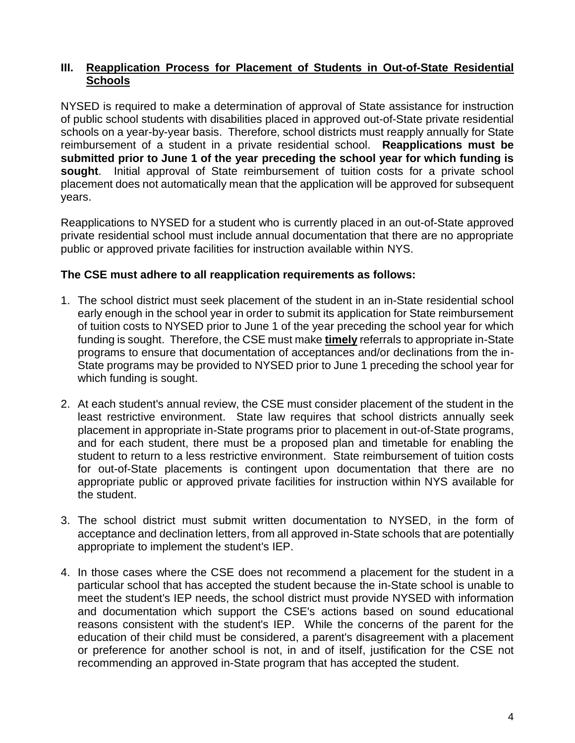### **III. Reapplication Process for Placement of Students in Out-of-State Residential Schools**

NYSED is required to make a determination of approval of State assistance for instruction of public school students with disabilities placed in approved out-of-State private residential schools on a year-by-year basis. Therefore, school districts must reapply annually for State reimbursement of a student in a private residential school. **Reapplications must be submitted prior to June 1 of the year preceding the school year for which funding is sought**. Initial approval of State reimbursement of tuition costs for a private school placement does not automatically mean that the application will be approved for subsequent years.

Reapplications to NYSED for a student who is currently placed in an out-of-State approved private residential school must include annual documentation that there are no appropriate public or approved private facilities for instruction available within NYS.

### **The CSE must adhere to all reapplication requirements as follows:**

- 1. The school district must seek placement of the student in an in-State residential school early enough in the school year in order to submit its application for State reimbursement of tuition costs to NYSED prior to June 1 of the year preceding the school year for which funding is sought. Therefore, the CSE must make **timely** referrals to appropriate in-State programs to ensure that documentation of acceptances and/or declinations from the in-State programs may be provided to NYSED prior to June 1 preceding the school year for which funding is sought.
- 2. At each student's annual review, the CSE must consider placement of the student in the least restrictive environment. State law requires that school districts annually seek placement in appropriate in-State programs prior to placement in out-of-State programs, and for each student, there must be a proposed plan and timetable for enabling the student to return to a less restrictive environment. State reimbursement of tuition costs for out-of-State placements is contingent upon documentation that there are no appropriate public or approved private facilities for instruction within NYS available for the student.
- 3. The school district must submit written documentation to NYSED, in the form of acceptance and declination letters, from all approved in-State schools that are potentially appropriate to implement the student's IEP.
- 4. In those cases where the CSE does not recommend a placement for the student in a particular school that has accepted the student because the in-State school is unable to meet the student's IEP needs, the school district must provide NYSED with information and documentation which support the CSE's actions based on sound educational reasons consistent with the student's IEP. While the concerns of the parent for the education of their child must be considered, a parent's disagreement with a placement or preference for another school is not, in and of itself, justification for the CSE not recommending an approved in-State program that has accepted the student.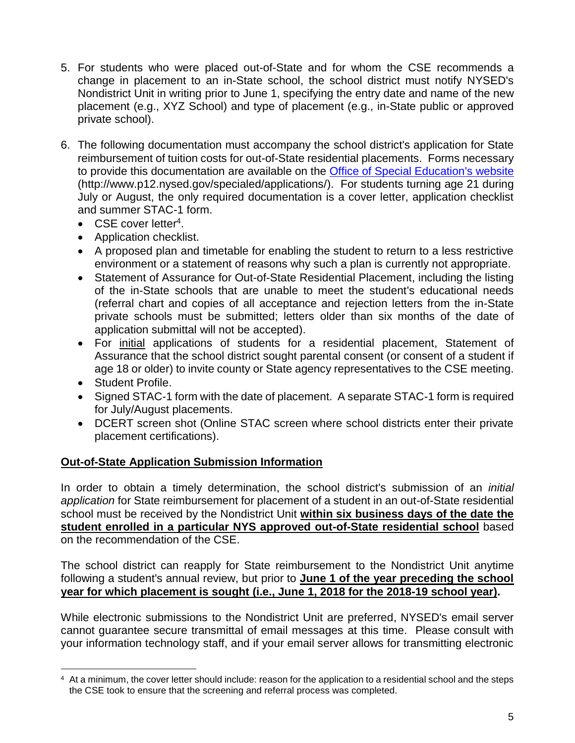- 5. For students who were placed out-of-State and for whom the CSE recommends a change in placement to an in-State school, the school district must notify NYSED's Nondistrict Unit in writing prior to June 1, specifying the entry date and name of the new placement (e.g., XYZ School) and type of placement (e.g., in-State public or approved private school).
- 6. The following documentation must accompany the school district's application for State reimbursement of tuition costs for out-of-State residential placements. Forms necessary to provide this documentation are available on the [Office of Special Education's](http://www.p12.nysed.gov/specialed/applications/) website (http://www.p12.nysed.gov/specialed/applications/). For students turning age 21 during July or August, the only required documentation is a cover letter, application checklist and summer STAC-1 form.
	- CSE cover letter<sup>4</sup>.
	- Application checklist.
	- A proposed plan and timetable for enabling the student to return to a less restrictive environment or a statement of reasons why such a plan is currently not appropriate.
	- Statement of Assurance for Out-of-State Residential Placement, including the listing of the in-State schools that are unable to meet the student's educational needs (referral chart and copies of all acceptance and rejection letters from the in-State private schools must be submitted; letters older than six months of the date of application submittal will not be accepted).
	- For initial applications of students for a residential placement, Statement of Assurance that the school district sought parental consent (or consent of a student if age 18 or older) to invite county or State agency representatives to the CSE meeting.
	- Student Profile.
	- Signed STAC-1 form with the date of placement. A separate STAC-1 form is required for July/August placements.
	- DCERT screen shot (Online STAC screen where school districts enter their private placement certifications).

# **Out-of-State Application Submission Information**

In order to obtain a timely determination, the school district's submission of an *initial application* for State reimbursement for placement of a student in an out-of-State residential school must be received by the Nondistrict Unit **within six business days of the date the student enrolled in a particular NYS approved out-of-State residential school** based on the recommendation of the CSE.

The school district can reapply for State reimbursement to the Nondistrict Unit anytime following a student's annual review, but prior to **June 1 of the year preceding the school year for which placement is sought (i.e., June 1, 2018 for the 2018-19 school year).**

While electronic submissions to the Nondistrict Unit are preferred, NYSED's email server cannot guarantee secure transmittal of email messages at this time. Please consult with your information technology staff, and if your email server allows for transmitting electronic

 $\overline{a}$ <sup>4</sup> At a minimum, the cover letter should include: reason for the application to a residential school and the steps the CSE took to ensure that the screening and referral process was completed.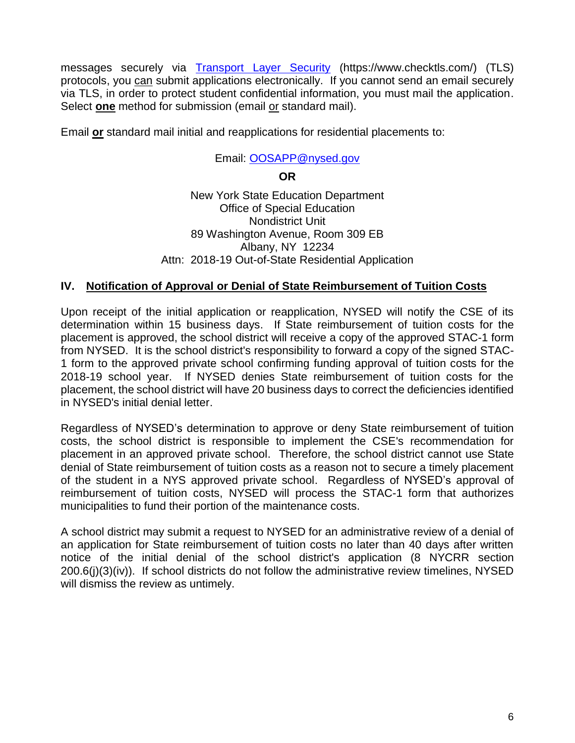messages securely via [Transport Layer Security](https://www.checktls.com/) (https://www.checktls.com/) (TLS) protocols, you can submit applications electronically. If you cannot send an email securely via TLS, in order to protect student confidential information, you must mail the application. Select **one** method for submission (email or standard mail).

Email **or** standard mail initial and reapplications for residential placements to:

Email: [OOSAPP@nysed.gov](mailto:OOSAPP@mail.nysed.gov)

**OR**

New York State Education Department Office of Special Education Nondistrict Unit 89 Washington Avenue, Room 309 EB Albany, NY 12234 Attn: 2018-19 Out-of-State Residential Application

## **IV. Notification of Approval or Denial of State Reimbursement of Tuition Costs**

Upon receipt of the initial application or reapplication, NYSED will notify the CSE of its determination within 15 business days. If State reimbursement of tuition costs for the placement is approved, the school district will receive a copy of the approved STAC-1 form from NYSED. It is the school district's responsibility to forward a copy of the signed STAC-1 form to the approved private school confirming funding approval of tuition costs for the 2018-19 school year. If NYSED denies State reimbursement of tuition costs for the placement, the school district will have 20 business days to correct the deficiencies identified in NYSED's initial denial letter.

Regardless of NYSED's determination to approve or deny State reimbursement of tuition costs, the school district is responsible to implement the CSE's recommendation for placement in an approved private school. Therefore, the school district cannot use State denial of State reimbursement of tuition costs as a reason not to secure a timely placement of the student in a NYS approved private school. Regardless of NYSED's approval of reimbursement of tuition costs, NYSED will process the STAC-1 form that authorizes municipalities to fund their portion of the maintenance costs.

A school district may submit a request to NYSED for an administrative review of a denial of an application for State reimbursement of tuition costs no later than 40 days after written notice of the initial denial of the school district's application (8 NYCRR section 200.6(j)(3)(iv)). If school districts do not follow the administrative review timelines, NYSED will dismiss the review as untimely.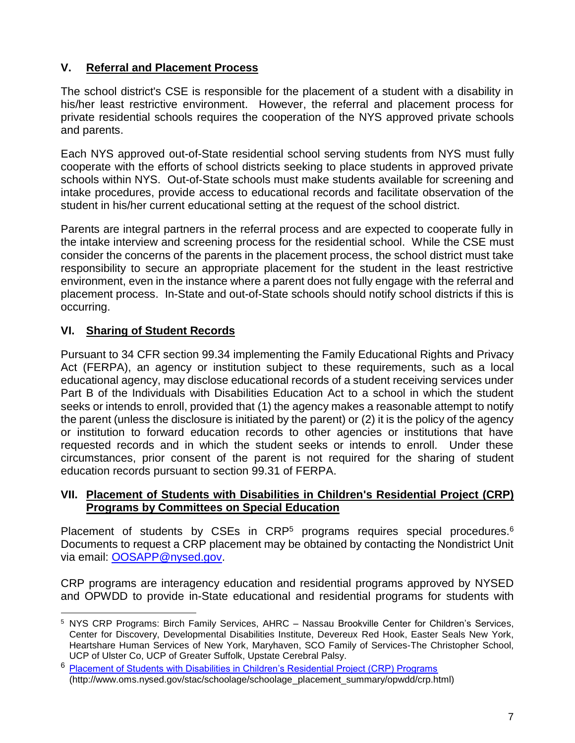# **V. Referral and Placement Process**

The school district's CSE is responsible for the placement of a student with a disability in his/her least restrictive environment. However, the referral and placement process for private residential schools requires the cooperation of the NYS approved private schools and parents.

Each NYS approved out-of-State residential school serving students from NYS must fully cooperate with the efforts of school districts seeking to place students in approved private schools within NYS. Out-of-State schools must make students available for screening and intake procedures, provide access to educational records and facilitate observation of the student in his/her current educational setting at the request of the school district.

Parents are integral partners in the referral process and are expected to cooperate fully in the intake interview and screening process for the residential school. While the CSE must consider the concerns of the parents in the placement process, the school district must take responsibility to secure an appropriate placement for the student in the least restrictive environment, even in the instance where a parent does not fully engage with the referral and placement process. In-State and out-of-State schools should notify school districts if this is occurring.

# **VI. Sharing of Student Records**

Pursuant to 34 CFR section 99.34 implementing the Family Educational Rights and Privacy Act (FERPA), an agency or institution subject to these requirements, such as a local educational agency, may disclose educational records of a student receiving services under Part B of the Individuals with Disabilities Education Act to a school in which the student seeks or intends to enroll, provided that (1) the agency makes a reasonable attempt to notify the parent (unless the disclosure is initiated by the parent) or (2) it is the policy of the agency or institution to forward education records to other agencies or institutions that have requested records and in which the student seeks or intends to enroll. Under these circumstances, prior consent of the parent is not required for the sharing of student education records pursuant to section 99.31 of FERPA.

### **VII. Placement of Students with Disabilities in Children's Residential Project (CRP) Programs by Committees on Special Education**

Placement of students by CSEs in  $CRP<sup>5</sup>$  programs requires special procedures.<sup>6</sup> Documents to request a CRP placement may be obtained by contacting the Nondistrict Unit via email: [OOSAPP@nysed.gov.](mailto:OOSAPP@nysed.gov)

CRP programs are interagency education and residential programs approved by NYSED and OPWDD to provide in-State educational and residential programs for students with

 $\overline{a}$ <sup>5</sup> NYS CRP Programs: Birch Family Services, AHRC – Nassau Brookville Center for Children's Services, Center for Discovery, Developmental Disabilities Institute, Devereux Red Hook, Easter Seals New York, Heartshare Human Services of New York, Maryhaven, SCO Family of Services-The Christopher School, UCP of Ulster Co, UCP of Greater Suffolk, Upstate Cerebral Palsy.

<sup>6</sup> [Placement of Students with Disabilities in Children's Residential Project \(CRP\) Programs](http://www.oms.nysed.gov/stac/schoolage/schoolage_placement_summary/opwdd/crp.html) (http://www.oms.nysed.gov/stac/schoolage/schoolage\_placement\_summary/opwdd/crp.html)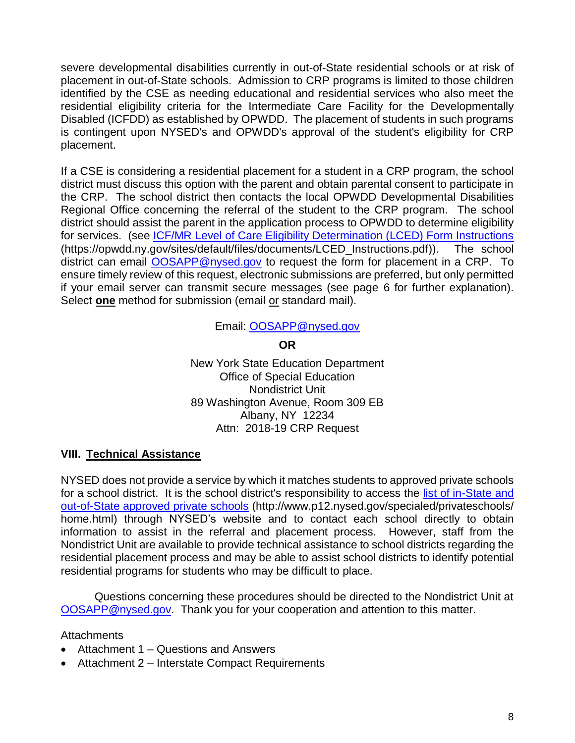severe developmental disabilities currently in out-of-State residential schools or at risk of placement in out-of-State schools. Admission to CRP programs is limited to those children identified by the CSE as needing educational and residential services who also meet the residential eligibility criteria for the Intermediate Care Facility for the Developmentally Disabled (ICFDD) as established by OPWDD. The placement of students in such programs is contingent upon NYSED's and OPWDD's approval of the student's eligibility for CRP placement.

If a CSE is considering a residential placement for a student in a CRP program, the school district must discuss this option with the parent and obtain parental consent to participate in the CRP. The school district then contacts the local OPWDD Developmental Disabilities Regional Office concerning the referral of the student to the CRP program. The school district should assist the parent in the application process to OPWDD to determine eligibility for services. (see [ICF/MR Level of Care Eligibility Determination \(LCED\) Form Instructions](https://opwdd.ny.gov/sites/default/files/documents/LCED_Instructions.pdf) (https://opwdd.ny.gov/sites/default/files/documents/LCED\_Instructions.pdf)). The school district can email [OOSAPP@nysed.gov](mailto:OOSAPP@nysed.gov) to request the form for placement in a CRP. To ensure timely review of this request, electronic submissions are preferred, but only permitted if your email server can transmit secure messages (see page 6 for further explanation). Select **one** method for submission (email or standard mail).

Email: [OOSAPP@nysed.gov](mailto:OOSAPP@nysed.gov)

**OR**

New York State Education Department Office of Special Education Nondistrict Unit 89 Washington Avenue, Room 309 EB Albany, NY 12234 Attn: 2018-19 CRP Request

## **VIII. Technical Assistance**

NYSED does not provide a service by which it matches students to approved private schools for a school district. It is the school district's responsibility to access the [list of in-State and](http://www.p12.nysed.gov/specialed/privateschools/home.html)  [out-of-State approved private schools](http://www.p12.nysed.gov/specialed/privateschools/home.html) (http://www.p12.nysed.gov/specialed/privateschools/ home.html) through NYSED's website and to contact each school directly to obtain information to assist in the referral and placement process. However, staff from the Nondistrict Unit are available to provide technical assistance to school districts regarding the residential placement process and may be able to assist school districts to identify potential residential programs for students who may be difficult to place.

Questions concerning these procedures should be directed to the Nondistrict Unit at [OOSAPP@nysed.gov.](mailto:OOSAPP@nysed.gov) Thank you for your cooperation and attention to this matter.

## **Attachments**

- Attachment 1 Questions and Answers
- Attachment 2 Interstate Compact Requirements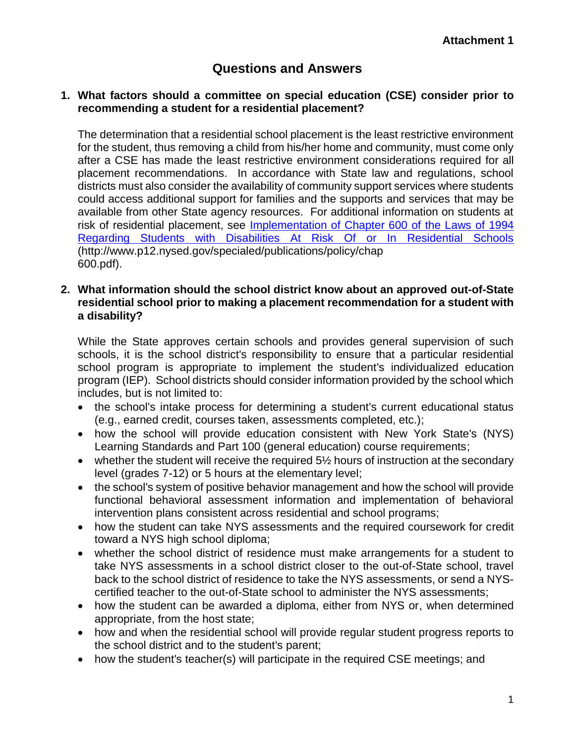# **Questions and Answers**

### **1. What factors should a committee on special education (CSE) consider prior to recommending a student for a residential placement?**

The determination that a residential school placement is the least restrictive environment for the student, thus removing a child from his/her home and community, must come only after a CSE has made the least restrictive environment considerations required for all placement recommendations. In accordance with State law and regulations, school districts must also consider the availability of community support services where students could access additional support for families and the supports and services that may be available from other State agency resources. For additional information on students at risk of residential placement, see [Implementation of Chapter 600 of the Laws of 1994](http://www.p12.nysed.gov/specialed/publications/policy/chap600.pdf)  [Regarding Students with Disabilities At Risk Of or In Residential Schools](http://www.p12.nysed.gov/specialed/publications/policy/chap600.pdf) (http://www.p12.nysed.gov/specialed/publications/policy/chap 600.pdf).

### **2. What information should the school district know about an approved out-of-State residential school prior to making a placement recommendation for a student with a disability?**

While the State approves certain schools and provides general supervision of such schools, it is the school district's responsibility to ensure that a particular residential school program is appropriate to implement the student's individualized education program (IEP). School districts should consider information provided by the school which includes, but is not limited to:

- the school's intake process for determining a student's current educational status (e.g., earned credit, courses taken, assessments completed, etc.);
- how the school will provide education consistent with New York State's (NYS) Learning Standards and Part 100 (general education) course requirements;
- whether the student will receive the required 5½ hours of instruction at the secondary level (grades 7-12) or 5 hours at the elementary level;
- the school's system of positive behavior management and how the school will provide functional behavioral assessment information and implementation of behavioral intervention plans consistent across residential and school programs;
- how the student can take NYS assessments and the required coursework for credit toward a NYS high school diploma;
- whether the school district of residence must make arrangements for a student to take NYS assessments in a school district closer to the out-of-State school, travel back to the school district of residence to take the NYS assessments, or send a NYScertified teacher to the out-of-State school to administer the NYS assessments;
- how the student can be awarded a diploma, either from NYS or, when determined appropriate, from the host state;
- how and when the residential school will provide regular student progress reports to the school district and to the student's parent;
- how the student's teacher(s) will participate in the required CSE meetings; and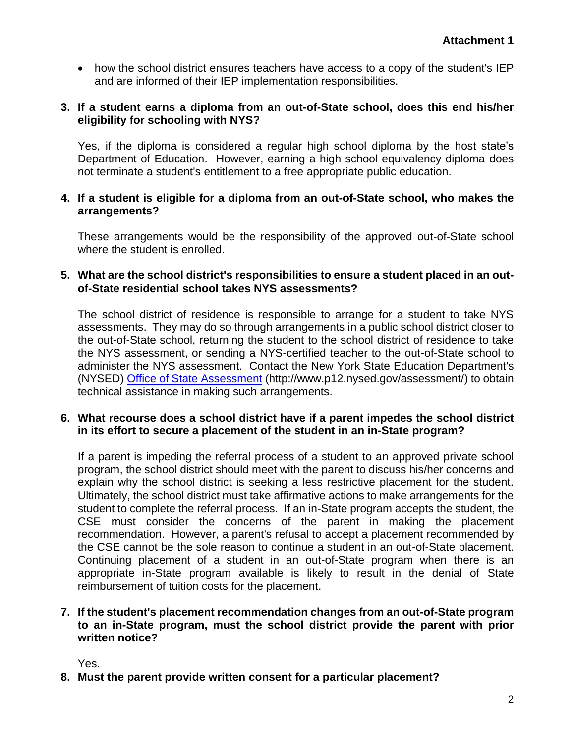• how the school district ensures teachers have access to a copy of the student's IEP and are informed of their IEP implementation responsibilities.

### **3. If a student earns a diploma from an out-of-State school, does this end his/her eligibility for schooling with NYS?**

Yes, if the diploma is considered a regular high school diploma by the host state's Department of Education. However, earning a high school equivalency diploma does not terminate a student's entitlement to a free appropriate public education.

### **4. If a student is eligible for a diploma from an out-of-State school, who makes the arrangements?**

These arrangements would be the responsibility of the approved out-of-State school where the student is enrolled.

### **5. What are the school district's responsibilities to ensure a student placed in an outof-State residential school takes NYS assessments?**

The school district of residence is responsible to arrange for a student to take NYS assessments. They may do so through arrangements in a public school district closer to the out-of-State school, returning the student to the school district of residence to take the NYS assessment, or sending a NYS-certified teacher to the out-of-State school to administer the NYS assessment. Contact the New York State Education Department's (NYSED) [Office of State Assessment](http://www.p12.nysed.gov/assessment/) (http://www.p12.nysed.gov/assessment/) to obtain technical assistance in making such arrangements.

### **6. What recourse does a school district have if a parent impedes the school district in its effort to secure a placement of the student in an in-State program?**

If a parent is impeding the referral process of a student to an approved private school program, the school district should meet with the parent to discuss his/her concerns and explain why the school district is seeking a less restrictive placement for the student. Ultimately, the school district must take affirmative actions to make arrangements for the student to complete the referral process. If an in-State program accepts the student, the CSE must consider the concerns of the parent in making the placement recommendation. However, a parent's refusal to accept a placement recommended by the CSE cannot be the sole reason to continue a student in an out-of-State placement. Continuing placement of a student in an out-of-State program when there is an appropriate in-State program available is likely to result in the denial of State reimbursement of tuition costs for the placement.

### **7. If the student's placement recommendation changes from an out-of-State program to an in-State program, must the school district provide the parent with prior written notice?**

Yes.

**8. Must the parent provide written consent for a particular placement?**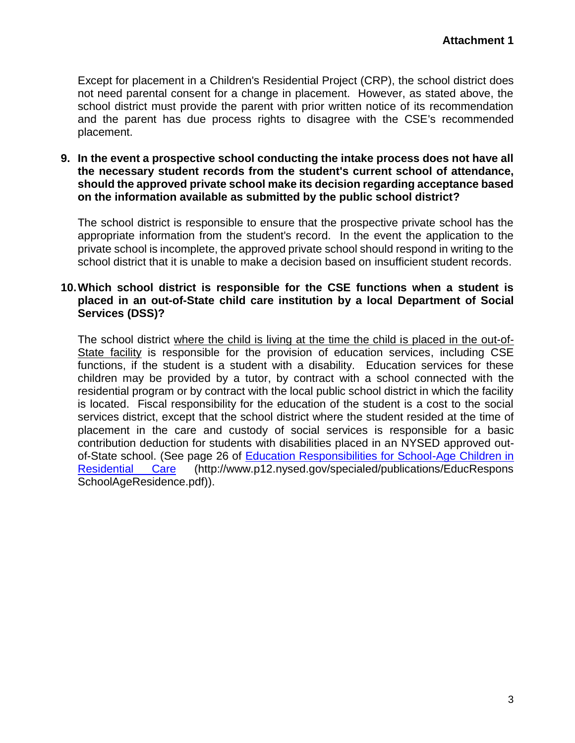Except for placement in a Children's Residential Project (CRP), the school district does not need parental consent for a change in placement. However, as stated above, the school district must provide the parent with prior written notice of its recommendation and the parent has due process rights to disagree with the CSE's recommended placement.

**9. In the event a prospective school conducting the intake process does not have all the necessary student records from the student's current school of attendance, should the approved private school make its decision regarding acceptance based on the information available as submitted by the public school district?**

The school district is responsible to ensure that the prospective private school has the appropriate information from the student's record. In the event the application to the private school is incomplete, the approved private school should respond in writing to the school district that it is unable to make a decision based on insufficient student records.

### **10.Which school district is responsible for the CSE functions when a student is placed in an out-of-State child care institution by a local Department of Social Services (DSS)?**

The school district where the child is living at the time the child is placed in the out-of-State facility is responsible for the provision of education services, including CSE functions, if the student is a student with a disability. Education services for these children may be provided by a tutor, by contract with a school connected with the residential program or by contract with the local public school district in which the facility is located. Fiscal responsibility for the education of the student is a cost to the social services district, except that the school district where the student resided at the time of placement in the care and custody of social services is responsible for a basic contribution deduction for students with disabilities placed in an NYSED approved outof-State school. (See page 26 of [Education Responsibilities for School-Age Children in](http://www.p12.nysed.gov/specialed/publications/EducResponsSchoolAgeResidence.pdf)  [Residential Care](http://www.p12.nysed.gov/specialed/publications/EducResponsSchoolAgeResidence.pdf) (http://www.p12.nysed.gov/specialed/publications/EducRespons SchoolAgeResidence.pdf)).